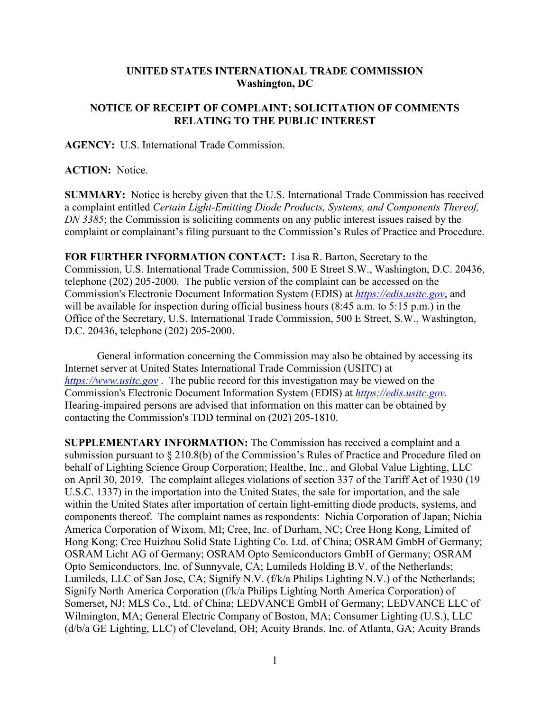## **UNITED STATES INTERNATIONAL TRADE COMMISSION Washington, DC**

## **NOTICE OF RECEIPT OF COMPLAINT; SOLICITATION OF COMMENTS RELATING TO THE PUBLIC INTEREST**

**AGENCY:** U.S. International Trade Commission.

## **ACTION:** Notice.

**SUMMARY:** Notice is hereby given that the U.S. International Trade Commission has received a complaint entitled *Certain Light-Emitting Diode Products, Systems, and Components Thereof, DN 3385*; the Commission is soliciting comments on any public interest issues raised by the complaint or complainant's filing pursuant to the Commission's Rules of Practice and Procedure.

**FOR FURTHER INFORMATION CONTACT:** Lisa R. Barton, Secretary to the Commission, U.S. International Trade Commission, 500 E Street S.W., Washington, D.C. 20436, telephone (202) 205-2000. The public version of the complaint can be accessed on the Commission's Electronic Document Information System (EDIS) at *[https://edis.usitc.gov](https://edis.usitc.gov/)*, and will be available for inspection during official business hours (8:45 a.m. to 5:15 p.m.) in the Office of the Secretary, U.S. International Trade Commission, 500 E Street, S.W., Washington, D.C. 20436, telephone (202) 205-2000.

General information concerning the Commission may also be obtained by accessing its Internet server at United States International Trade Commission (USITC) at *[https://www.usitc.gov](https://www.usitc.gov/)* . The public record for this investigation may be viewed on the Commission's Electronic Document Information System (EDIS) at *[https://edis.usitc.gov.](https://edis.usitc.gov/)* Hearing-impaired persons are advised that information on this matter can be obtained by contacting the Commission's TDD terminal on (202) 205-1810.

**SUPPLEMENTARY INFORMATION:** The Commission has received a complaint and a submission pursuant to § 210.8(b) of the Commission's Rules of Practice and Procedure filed on behalf of Lighting Science Group Corporation; Healthe, Inc., and Global Value Lighting, LLC on April 30, 2019. The complaint alleges violations of section 337 of the Tariff Act of 1930 (19 U.S.C. 1337) in the importation into the United States, the sale for importation, and the sale within the United States after importation of certain light-emitting diode products, systems, and components thereof. The complaint names as respondents: Nichia Corporation of Japan; Nichia America Corporation of Wixom, MI; Cree, Inc. of Durham, NC; Cree Hong Kong, Limited of Hong Kong; Cree Huizhou Solid State Lighting Co. Ltd. of China; OSRAM GmbH of Germany; OSRAM Licht AG of Germany; OSRAM Opto Semiconductors GmbH of Germany; OSRAM Opto Semiconductors, Inc. of Sunnyvale, CA; Lumileds Holding B.V. of the Netherlands; Lumileds, LLC of San Jose, CA; Signify N.V. (f/k/a Philips Lighting N.V.) of the Netherlands; Signify North America Corporation (f/k/a Philips Lighting North America Corporation) of Somerset, NJ; MLS Co., Ltd. of China; LEDVANCE GmbH of Germany; LEDVANCE LLC of Wilmington, MA; General Electric Company of Boston, MA; Consumer Lighting (U.S.), LLC (d/b/a GE Lighting, LLC) of Cleveland, OH; Acuity Brands, Inc. of Atlanta, GA; Acuity Brands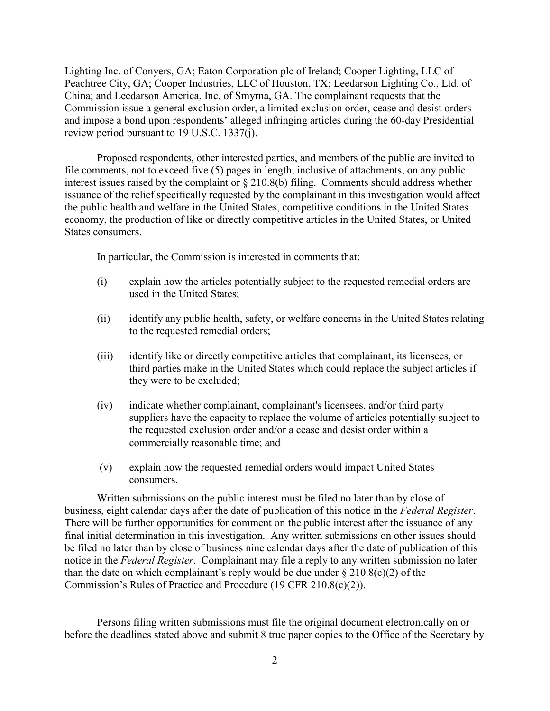Lighting Inc. of Conyers, GA; Eaton Corporation plc of Ireland; Cooper Lighting, LLC of Peachtree City, GA; Cooper Industries, LLC of Houston, TX; Leedarson Lighting Co., Ltd. of China; and Leedarson America, Inc. of Smyrna, GA. The complainant requests that the Commission issue a general exclusion order, a limited exclusion order, cease and desist orders and impose a bond upon respondents' alleged infringing articles during the 60-day Presidential review period pursuant to 19 U.S.C. 1337(j).

Proposed respondents, other interested parties, and members of the public are invited to file comments, not to exceed five (5) pages in length, inclusive of attachments, on any public interest issues raised by the complaint or § 210.8(b) filing. Comments should address whether issuance of the relief specifically requested by the complainant in this investigation would affect the public health and welfare in the United States, competitive conditions in the United States economy, the production of like or directly competitive articles in the United States, or United States consumers.

In particular, the Commission is interested in comments that:

- (i) explain how the articles potentially subject to the requested remedial orders are used in the United States;
- (ii) identify any public health, safety, or welfare concerns in the United States relating to the requested remedial orders;
- (iii) identify like or directly competitive articles that complainant, its licensees, or third parties make in the United States which could replace the subject articles if they were to be excluded;
- (iv) indicate whether complainant, complainant's licensees, and/or third party suppliers have the capacity to replace the volume of articles potentially subject to the requested exclusion order and/or a cease and desist order within a commercially reasonable time; and
- (v) explain how the requested remedial orders would impact United States consumers.

Written submissions on the public interest must be filed no later than by close of business, eight calendar days after the date of publication of this notice in the *Federal Register*. There will be further opportunities for comment on the public interest after the issuance of any final initial determination in this investigation. Any written submissions on other issues should be filed no later than by close of business nine calendar days after the date of publication of this notice in the *Federal Register*. Complainant may file a reply to any written submission no later than the date on which complainant's reply would be due under  $\S 210.8(c)(2)$  of the Commission's Rules of Practice and Procedure (19 CFR 210.8(c)(2)).

Persons filing written submissions must file the original document electronically on or before the deadlines stated above and submit 8 true paper copies to the Office of the Secretary by